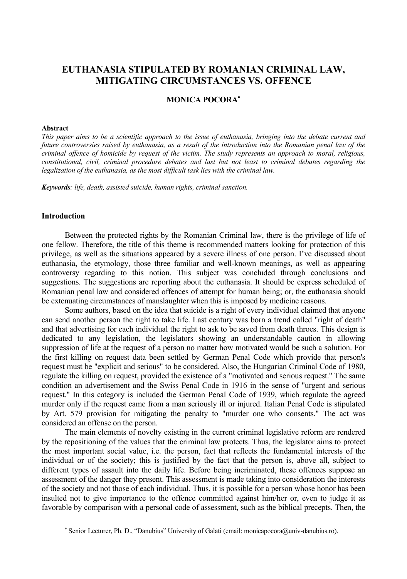# **EUTHANASIA STIPULATED BY ROMANIAN CRIMINAL LAW, MITIGATING CIRCUMSTANCES VS. OFFENCE**

## **MONICA POCORA**<sup>∗</sup>

## **Abstract**

*This paper aims to be a scientific approach to the issue of euthanasia, bringing into the debate current and future controversies raised by euthanasia, as a result of the introduction into the Romanian penal law of the criminal offence of homicide by request of the victim. The study represents an approach to moral, religious, constitutional, civil, criminal procedure debates and last but not least to criminal debates regarding the legalization of the euthanasia, as the most difficult task lies with the criminal law.* 

*Keywords: life, death, assisted suicide, human rights, criminal sanction.* 

## **Introduction**

 $\overline{a}$ 

Between the protected rights by the Romanian Criminal law, there is the privilege of life of one fellow. Therefore, the title of this theme is recommended matters looking for protection of this privilege, as well as the situations appeared by a severe illness of one person. I've discussed about euthanasia, the etymology, those three familiar and well-known meanings, as well as appearing controversy regarding to this notion. This subject was concluded through conclusions and suggestions. The suggestions are reporting about the euthanasia. It should be express scheduled of Romanian penal law and considered offences of attempt for human being; or, the euthanasia should be extenuating circumstances of manslaughter when this is imposed by medicine reasons.

Some authors, based on the idea that suicide is a right of every individual claimed that anyone can send another person the right to take life. Last century was born a trend called "right of death" and that advertising for each individual the right to ask to be saved from death throes. This design is dedicated to any legislation, the legislators showing an understandable caution in allowing suppression of life at the request of a person no matter how motivated would be such a solution. For the first killing on request data been settled by German Penal Code which provide that person's request must be "explicit and serious" to be considered. Also, the Hungarian Criminal Code of 1980, regulate the killing on request, provided the existence of a "motivated and serious request." The same condition an advertisement and the Swiss Penal Code in 1916 in the sense of "urgent and serious request." In this category is included the German Penal Code of 1939, which regulate the agreed murder only if the request came from a man seriously ill or injured. Italian Penal Code is stipulated by Art. 579 provision for mitigating the penalty to "murder one who consents." The act was considered an offense on the person.

The main elements of novelty existing in the current criminal legislative reform are rendered by the repositioning of the values that the criminal law protects. Thus, the legislator aims to protect the most important social value, i.e. the person, fact that reflects the fundamental interests of the individual or of the society; this is justified by the fact that the person is, above all, subject to different types of assault into the daily life. Before being incriminated, these offences suppose an assessment of the danger they present. This assessment is made taking into consideration the interests of the society and not those of each individual. Thus, it is possible for a person whose honor has been insulted not to give importance to the offence committed against him/her or, even to judge it as favorable by comparison with a personal code of assessment, such as the biblical precepts. Then, the

<sup>∗</sup> Senior Lecturer, Ph. D., "Danubius" University of Galati (email: monicapocora@univ-danubius.ro).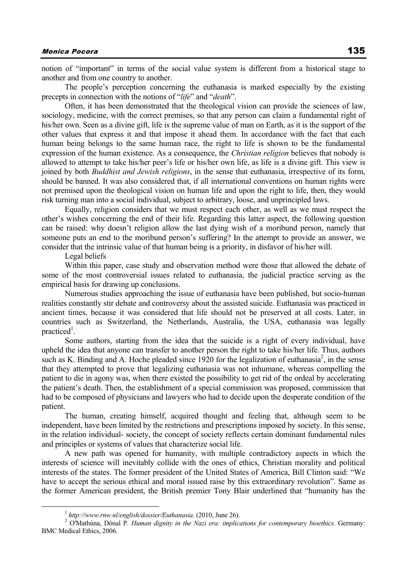notion of "important" in terms of the social value system is different from a historical stage to another and from one country to another.

The people's perception concerning the euthanasia is marked especially by the existing precepts in connection with the notions of "*life*" and "*death*".

Often, it has been demonstrated that the theological vision can provide the sciences of law, sociology, medicine, with the correct premises, so that any person can claim a fundamental right of his/her own. Seen as a divine gift, life is the supreme value of man on Earth, as it is the support of the other values that express it and that impose it ahead them. In accordance with the fact that each human being belongs to the same human race, the right to life is shown to be the fundamental expression of the human existence. As a consequence, the *Christian religion* believes that nobody is allowed to attempt to take his/her peer's life or his/her own life, as life is a divine gift. This view is joined by both *Buddhist and Jewish religions*, in the sense that euthanasia, irrespective of its form, should be banned. It was also considered that, if all international conventions on human rights were not premised upon the theological vision on human life and upon the right to life, then, they would risk turning man into a social individual, subject to arbitrary, loose, and unprincipled laws.

Equally, religion considers that we must respect each other, as well as we must respect the other's wishes concerning the end of their life. Regarding this latter aspect, the following question can be raised: why doesn't religion allow the last dying wish of a moribund person, namely that someone puts an end to the moribund person's suffering? In the attempt to provide an answer, we consider that the intrinsic value of that human being is a priority, in disfavor of his/her will.

Legal beliefs

Within this paper, case study and observation method were those that allowed the debate of some of the most controversial issues related to euthanasia, the judicial practice serving as the empirical basis for drawing up conclusions.

Numerous studies approaching the issue of euthanasia have been published, but socio-human realities constantly stir debate and controversy about the assisted suicide. Euthanasia was practiced in ancient times, because it was considered that life should not be preserved at all costs. Later, in countries such as Switzerland, the Netherlands, Australia, the USA, euthanasia was legally practiced<sup>1</sup>.

Some authors, starting from the idea that the suicide is a right of every individual, have upheld the idea that anyone can transfer to another person the right to take his/her life. Thus, authors such as K. Binding and A. Hoche pleaded since 1920 for the legalization of euthanasia<sup>2</sup>, in the sense that they attempted to prove that legalizing euthanasia was not inhumane, whereas compelling the patient to die in agony was, when there existed the possibility to get rid of the ordeal by accelerating the patient's death. Then, the establishment of a special commission was proposed, commission that had to be composed of physicians and lawyers who had to decide upon the desperate condition of the patient.

The human, creating himself, acquired thought and feeling that, although seem to be independent, have been limited by the restrictions and prescriptions imposed by society. In this sense, in the relation individual- society, the concept of society reflects certain dominant fundamental rules and principles or systems of values that characterize social life.

A new path was opened for humanity, with multiple contradictory aspects in which the interests of science will inevitably collide with the ones of ethics, Christian morality and political interests of the states. The former president of the United States of America, Bill Clinton said: "We have to accept the serious ethical and moral issued raise by this extraordinary revolution". Same as the former American president, the British premier Tony Blair underlined that "humanity has the

 $1$  *http://www.rnw.nl/english/dossier/Euthanasia.* (2010, June 26).

O'Mathúna, Dónal P. *Human dignity in the Nazi era: implications for contemporary bioethics.* Germany: BMC Medical Ethics, 2006.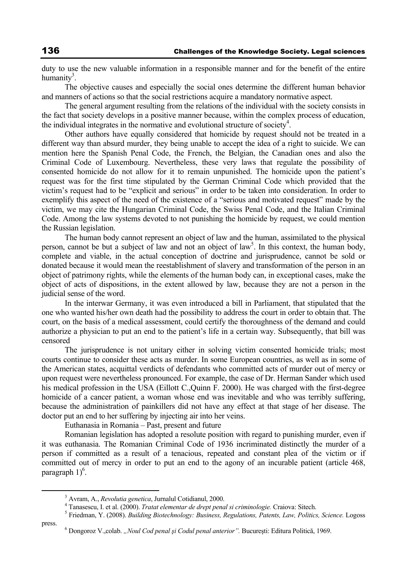duty to use the new valuable information in a responsible manner and for the benefit of the entire humanity<sup>3</sup>.

The objective causes and especially the social ones determine the different human behavior and manners of actions so that the social restrictions acquire a mandatory normative aspect.

The general argument resulting from the relations of the individual with the society consists in the fact that society develops in a positive manner because, within the complex process of education, the individual integrates in the normative and evolutional structure of society $4$ .

Other authors have equally considered that homicide by request should not be treated in a different way than absurd murder, they being unable to accept the idea of a right to suicide. We can mention here the Spanish Penal Code, the French, the Belgian, the Canadian ones and also the Criminal Code of Luxembourg. Nevertheless, these very laws that regulate the possibility of consented homicide do not allow for it to remain unpunished. The homicide upon the patient's request was for the first time stipulated by the German Criminal Code which provided that the victim's request had to be "explicit and serious" in order to be taken into consideration. In order to exemplify this aspect of the need of the existence of a "serious and motivated request" made by the victim, we may cite the Hungarian Criminal Code, the Swiss Penal Code, and the Italian Criminal Code. Among the law systems devoted to not punishing the homicide by request, we could mention the Russian legislation.

The human body cannot represent an object of law and the human, assimilated to the physical person, cannot be but a subject of law and not an object of law<sup>5</sup>. In this context, the human body, complete and viable, in the actual conception of doctrine and jurisprudence, cannot be sold or donated because it would mean the reestablishment of slavery and transformation of the person in an object of patrimony rights, while the elements of the human body can, in exceptional cases, make the object of acts of dispositions, in the extent allowed by law, because they are not a person in the judicial sense of the word.

In the interwar Germany, it was even introduced a bill in Parliament, that stipulated that the one who wanted his/her own death had the possibility to address the court in order to obtain that. The court, on the basis of a medical assessment, could certify the thoroughness of the demand and could authorize a physician to put an end to the patient's life in a certain way. Subsequently, that bill was censored

The jurisprudence is not unitary either in solving victim consented homicide trials; most courts continue to consider these acts as murder. In some European countries, as well as in some of the American states, acquittal verdicts of defendants who committed acts of murder out of mercy or upon request were nevertheless pronounced. For example, the case of Dr. Herman Sander which used his medical profession in the USA (Eillott C.,Quinn F. 2000). He was charged with the first-degree homicide of a cancer patient, a woman whose end was inevitable and who was terribly suffering, because the administration of painkillers did not have any effect at that stage of her disease. The doctor put an end to her suffering by injecting air into her veins.

Euthanasia in Romania – Past, present and future

Romanian legislation has adopted a resolute position with regard to punishing murder, even if it was euthanasia. The Romanian Criminal Code of 1936 incriminated distinctly the murder of a person if committed as a result of a tenacious, repeated and constant plea of the victim or if committed out of mercy in order to put an end to the agony of an incurable patient (article 468, paragraph  $1$ <sup>6</sup>.

press.

 $\frac{1}{3}$ Avram, A., *Revolutia genetica*, Jurnalul Cotidianul, 2000. 4

Tanasescu, I. et al. (2000). *Tratat elementar de drept penal si criminologie.* Craiova: Sitech. 5

Friedman, Y. (2008). *Building Biotechnology: Business, Regulations, Patents, Law, Politics, Science.* Logoss

Dongoroz V.,colab. *"Noul Cod penal şi Codul penal anterior".* Bucureşti: Editura Politică, 1969.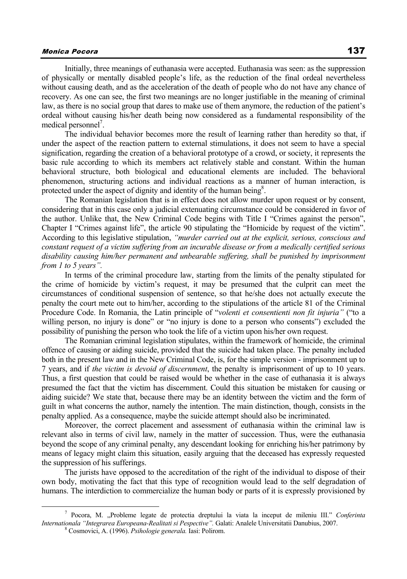## Monica Pocora 137

Initially, three meanings of euthanasia were accepted. Euthanasia was seen: as the suppression of physically or mentally disabled people's life, as the reduction of the final ordeal nevertheless without causing death, and as the acceleration of the death of people who do not have any chance of recovery. As one can see, the first two meanings are no longer justifiable in the meaning of criminal law, as there is no social group that dares to make use of them anymore, the reduction of the patient's ordeal without causing his/her death being now considered as a fundamental responsibility of the medical personnel<sup>7</sup>.

The individual behavior becomes more the result of learning rather than heredity so that, if under the aspect of the reaction pattern to external stimulations, it does not seem to have a special signification, regarding the creation of a behavioral prototype of a crowd, or society, it represents the basic rule according to which its members act relatively stable and constant. Within the human behavioral structure, both biological and educational elements are included. The behavioral phenomenon, structuring actions and individual reactions as a manner of human interaction, is protected under the aspect of dignity and identity of the human being<sup>8</sup>.

The Romanian legislation that is in effect does not allow murder upon request or by consent, considering that in this case only a judicial extenuating circumstance could be considered in favor of the author. Unlike that, the New Criminal Code begins with Title I "Crimes against the person", Chapter I "Crimes against life", the article 90 stipulating the "Homicide by request of the victim". According to this legislative stipulation, *"murder carried out at the explicit, serious, conscious and constant request of a victim suffering from an incurable disease or from a medically certified serious disability causing him/her permanent and unbearable suffering, shall be punished by imprisonment from 1 to 5 years".*

In terms of the criminal procedure law, starting from the limits of the penalty stipulated for the crime of homicide by victim's request, it may be presumed that the culprit can meet the circumstances of conditional suspension of sentence, so that he/she does not actually execute the penalty the court mete out to him/her, according to the stipulations of the article 81 of the Criminal Procedure Code. In Romania, the Latin principle of "*volenti et consentienti non fit injuria"* ("to a willing person, no injury is done" or "no injury is done to a person who consents") excluded the possibility of punishing the person who took the life of a victim upon his/her own request.

The Romanian criminal legislation stipulates, within the framework of homicide, the criminal offence of causing or aiding suicide, provided that the suicide had taken place. The penalty included both in the present law and in the New Criminal Code, is, for the simple version - imprisonment up to 7 years, and if *the victim is devoid of discernment*, the penalty is imprisonment of up to 10 years. Thus, a first question that could be raised would be whether in the case of euthanasia it is always presumed the fact that the victim has discernment. Could this situation be mistaken for causing or aiding suicide? We state that, because there may be an identity between the victim and the form of guilt in what concerns the author, namely the intention. The main distinction, though, consists in the penalty applied. As a consequence, maybe the suicide attempt should also be incriminated.

Moreover, the correct placement and assessment of euthanasia within the criminal law is relevant also in terms of civil law, namely in the matter of succession. Thus, were the euthanasia beyond the scope of any criminal penalty, any descendant looking for enriching his/her patrimony by means of legacy might claim this situation, easily arguing that the deceased has expressly requested the suppression of his sufferings.

The jurists have opposed to the accreditation of the right of the individual to dispose of their own body, motivating the fact that this type of recognition would lead to the self degradation of humans. The interdiction to commercialize the human body or parts of it is expressly provisioned by

 <sup>7</sup> Pocora, M. "Probleme legate de protectia dreptului la viata la inceput de mileniu III." *Conferinta Internationala "Integrarea Europeana-Realitati si Pespective".* Galati: Analele Universitatii Danubius, 2007. 8

Cosmovici, A. (1996). *Psihologie generala.* Iasi: Polirom.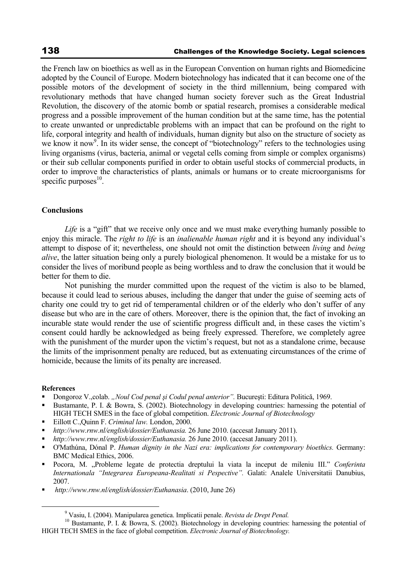the French law on bioethics as well as in the European Convention on human rights and Biomedicine adopted by the Council of Europe. Modern biotechnology has indicated that it can become one of the possible motors of the development of society in the third millennium, being compared with revolutionary methods that have changed human society forever such as the Great Industrial Revolution, the discovery of the atomic bomb or spatial research, promises a considerable medical progress and a possible improvement of the human condition but at the same time, has the potential to create unwanted or unpredictable problems with an impact that can be profound on the right to life, corporal integrity and health of individuals, human dignity but also on the structure of society as we know it now<sup>9</sup>. In its wider sense, the concept of "biotechnology" refers to the technologies using living organisms (virus, bacteria, animal or vegetal cells coming from simple or complex organisms) or their sub cellular components purified in order to obtain useful stocks of commercial products, in order to improve the characteristics of plants, animals or humans or to create microorganisms for specific purposes $10$ .

## **Conclusions**

*Life* is a "gift" that we receive only once and we must make everything humanly possible to enjoy this miracle. The *right to life* is an *inalienable human right* and it is beyond any individual's attempt to dispose of it; nevertheless, one should not omit the distinction between *living* and *being alive*, the latter situation being only a purely biological phenomenon. It would be a mistake for us to consider the lives of moribund people as being worthless and to draw the conclusion that it would be better for them to die.

Not punishing the murder committed upon the request of the victim is also to be blamed, because it could lead to serious abuses, including the danger that under the guise of seeming acts of charity one could try to get rid of temperamental children or of the elderly who don't suffer of any disease but who are in the care of others. Moreover, there is the opinion that, the fact of invoking an incurable state would render the use of scientific progress difficult and, in these cases the victim's consent could hardly be acknowledged as being freely expressed. Therefore, we completely agree with the punishment of the murder upon the victim's request, but not as a standalone crime, because the limits of the imprisonment penalty are reduced, but as extenuating circumstances of the crime of homicide, because the limits of its penalty are increased.

#### **References**

- Dongoroz V.,colab. *"Noul Cod penal şi Codul penal anterior".* Bucureşti: Editura Politică, 1969.
- Bustamante, P. I. & Bowra, S. (2002). Biotechnology in developing countries: harnessing the potential of HIGH TECH SMES in the face of global competition. *Electronic Journal of Biotechnology*
- Eillott C.,Quinn F. *Criminal law.* London, 2000.
- *http://www.rnw.nl/english/dossier/Euthanasia.* 26 June 2010. (accesat January 2011).
- *http://www.rnw.nl/english/dossier/Euthanasia.* 26 June 2010. (accesat January 2011).
- O'Mathúna, Dónal P. *Human dignity in the Nazi era: implications for contemporary bioethics.* Germany: BMC Medical Ethics, 2006.
- Pocora, M. "Probleme legate de protectia dreptului la viata la inceput de mileniu III." *Conferinta Internationala "Integrarea Europeana-Realitati si Pespective".* Galati: Analele Universitatii Danubius, 2007.
- *http://www.rnw.nl/english/dossier/Euthanasia*. (2010, June 26)

 <sup>9</sup>

<sup>&</sup>lt;sup>9</sup> Vasiu, I. (2004). Manipularea genetica. Implicatii penale. *Revista de Drept Penal*.<br><sup>10</sup> Bustamante, P. I. & Bowra, S. (2002). Biotechnology in developing countries: harnessing the potential of HIGH TECH SMES in the face of global competition. *Electronic Journal of Biotechnology.*